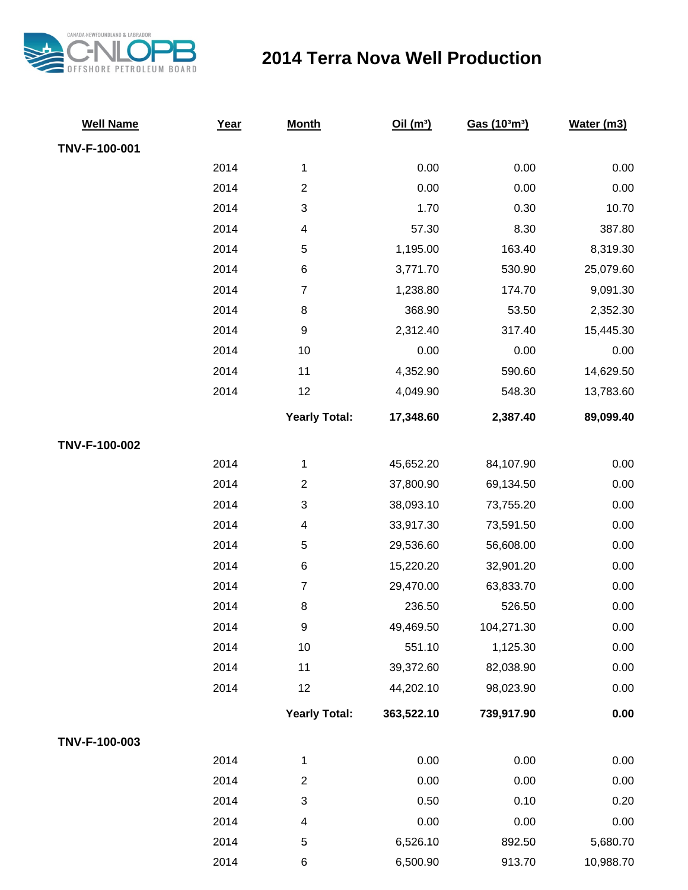

## **2014 Terra Nova Well Production**

| <b>Well Name</b> | Year | <b>Month</b>             | Oil $(m^3)$ | Gas (103m3) | Water (m3) |
|------------------|------|--------------------------|-------------|-------------|------------|
| TNV-F-100-001    |      |                          |             |             |            |
|                  | 2014 | 1                        | 0.00        | 0.00        | 0.00       |
|                  | 2014 | $\overline{c}$           | 0.00        | 0.00        | 0.00       |
|                  | 2014 | 3                        | 1.70        | 0.30        | 10.70      |
|                  | 2014 | 4                        | 57.30       | 8.30        | 387.80     |
|                  | 2014 | 5                        | 1,195.00    | 163.40      | 8,319.30   |
|                  | 2014 | $\,6$                    | 3,771.70    | 530.90      | 25,079.60  |
|                  | 2014 | $\overline{7}$           | 1,238.80    | 174.70      | 9,091.30   |
|                  | 2014 | 8                        | 368.90      | 53.50       | 2,352.30   |
|                  | 2014 | 9                        | 2,312.40    | 317.40      | 15,445.30  |
|                  | 2014 | 10                       | 0.00        | 0.00        | 0.00       |
|                  | 2014 | 11                       | 4,352.90    | 590.60      | 14,629.50  |
|                  | 2014 | 12                       | 4,049.90    | 548.30      | 13,783.60  |
|                  |      | <b>Yearly Total:</b>     | 17,348.60   | 2,387.40    | 89,099.40  |
| TNV-F-100-002    |      |                          |             |             |            |
|                  | 2014 | 1                        | 45,652.20   | 84,107.90   | 0.00       |
|                  | 2014 | $\overline{c}$           | 37,800.90   | 69,134.50   | 0.00       |
|                  | 2014 | 3                        | 38,093.10   | 73,755.20   | 0.00       |
|                  | 2014 | $\overline{\mathcal{A}}$ | 33,917.30   | 73,591.50   | 0.00       |
|                  | 2014 | 5                        | 29,536.60   | 56,608.00   | 0.00       |
|                  | 2014 | $\,6$                    | 15,220.20   | 32,901.20   | 0.00       |
|                  | 2014 | $\overline{7}$           | 29,470.00   | 63,833.70   | 0.00       |
|                  | 2014 | $\bf8$                   | 236.50      | 526.50      | 0.00       |
|                  | 2014 | 9                        | 49,469.50   | 104,271.30  | 0.00       |
|                  | 2014 | $10$                     | 551.10      | 1,125.30    | 0.00       |
|                  | 2014 | 11                       | 39,372.60   | 82,038.90   | 0.00       |
|                  | 2014 | 12                       | 44,202.10   | 98,023.90   | 0.00       |
|                  |      | <b>Yearly Total:</b>     | 363,522.10  | 739,917.90  | 0.00       |
| TNV-F-100-003    |      |                          |             |             |            |
|                  | 2014 | 1                        | 0.00        | 0.00        | 0.00       |
|                  | 2014 | $\overline{\mathbf{c}}$  | 0.00        | 0.00        | 0.00       |
|                  | 2014 | 3                        | 0.50        | 0.10        | 0.20       |
|                  | 2014 | $\overline{\mathcal{A}}$ | 0.00        | 0.00        | 0.00       |
|                  | 2014 | $\mathbf 5$              | 6,526.10    | 892.50      | 5,680.70   |
|                  | 2014 | 6                        | 6,500.90    | 913.70      | 10,988.70  |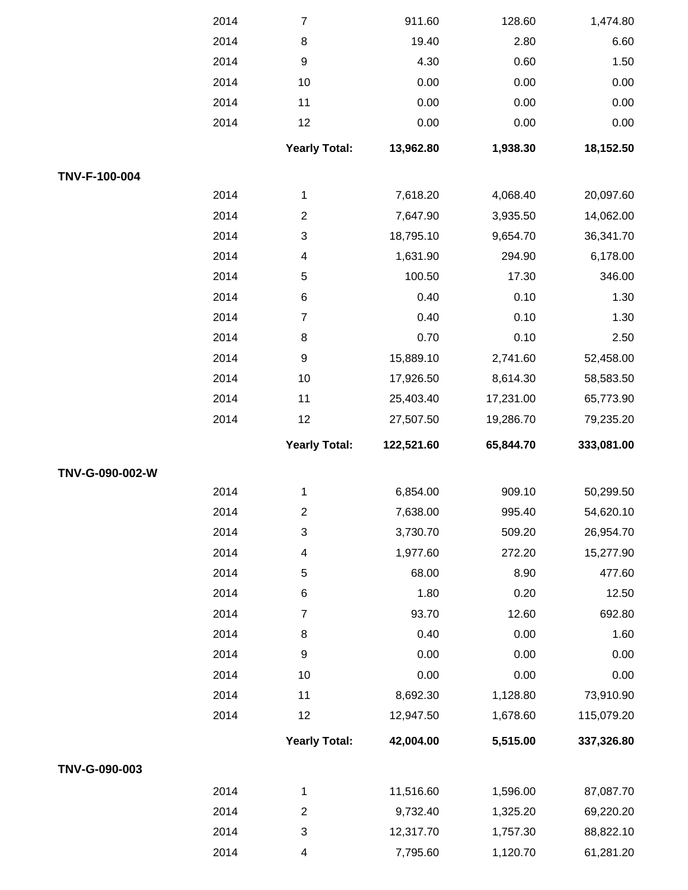|                 | 2014 | $\overline{7}$          | 911.60     | 128.60    | 1,474.80   |
|-----------------|------|-------------------------|------------|-----------|------------|
|                 | 2014 | 8                       | 19.40      | 2.80      | 6.60       |
|                 | 2014 | 9                       | 4.30       | 0.60      | 1.50       |
|                 | 2014 | 10                      | 0.00       | 0.00      | 0.00       |
|                 | 2014 | 11                      | 0.00       | 0.00      | 0.00       |
|                 | 2014 | 12                      | 0.00       | 0.00      | 0.00       |
|                 |      | <b>Yearly Total:</b>    | 13,962.80  | 1,938.30  | 18,152.50  |
| TNV-F-100-004   |      |                         |            |           |            |
|                 | 2014 | 1                       | 7,618.20   | 4,068.40  | 20,097.60  |
|                 | 2014 | $\overline{c}$          | 7,647.90   | 3,935.50  | 14,062.00  |
|                 | 2014 | 3                       | 18,795.10  | 9,654.70  | 36,341.70  |
|                 | 2014 | $\overline{\mathbf{4}}$ | 1,631.90   | 294.90    | 6,178.00   |
|                 | 2014 | 5                       | 100.50     | 17.30     | 346.00     |
|                 | 2014 | 6                       | 0.40       | 0.10      | 1.30       |
|                 | 2014 | $\overline{7}$          | 0.40       | 0.10      | 1.30       |
|                 | 2014 | 8                       | 0.70       | 0.10      | 2.50       |
|                 | 2014 | $\boldsymbol{9}$        | 15,889.10  | 2,741.60  | 52,458.00  |
|                 | 2014 | 10                      | 17,926.50  | 8,614.30  | 58,583.50  |
|                 | 2014 | 11                      | 25,403.40  | 17,231.00 | 65,773.90  |
|                 | 2014 | 12                      | 27,507.50  | 19,286.70 | 79,235.20  |
|                 |      |                         |            |           |            |
|                 |      | <b>Yearly Total:</b>    | 122,521.60 | 65,844.70 | 333,081.00 |
| TNV-G-090-002-W |      |                         |            |           |            |
|                 | 2014 | 1                       | 6,854.00   | 909.10    | 50,299.50  |
|                 | 2014 | $\overline{c}$          | 7,638.00   | 995.40    | 54,620.10  |
|                 | 2014 | 3                       | 3,730.70   | 509.20    | 26,954.70  |
|                 | 2014 | 4                       | 1,977.60   | 272.20    | 15,277.90  |
|                 | 2014 | 5                       | 68.00      | 8.90      | 477.60     |
|                 | 2014 | 6                       | 1.80       | 0.20      | 12.50      |
|                 | 2014 | $\overline{7}$          | 93.70      | 12.60     | 692.80     |
|                 | 2014 | 8                       | 0.40       | 0.00      | 1.60       |
|                 | 2014 | $\boldsymbol{9}$        | 0.00       | 0.00      | 0.00       |
|                 | 2014 | 10                      | 0.00       | 0.00      | 0.00       |
|                 | 2014 | 11                      | 8,692.30   | 1,128.80  | 73,910.90  |
|                 | 2014 | 12                      | 12,947.50  | 1,678.60  | 115,079.20 |
|                 |      | <b>Yearly Total:</b>    | 42,004.00  | 5,515.00  | 337,326.80 |
| TNV-G-090-003   |      |                         |            |           |            |
|                 | 2014 | 1                       | 11,516.60  | 1,596.00  | 87,087.70  |
|                 | 2014 | $\overline{c}$          | 9,732.40   | 1,325.20  | 69,220.20  |
|                 | 2014 | 3                       | 12,317.70  | 1,757.30  | 88,822.10  |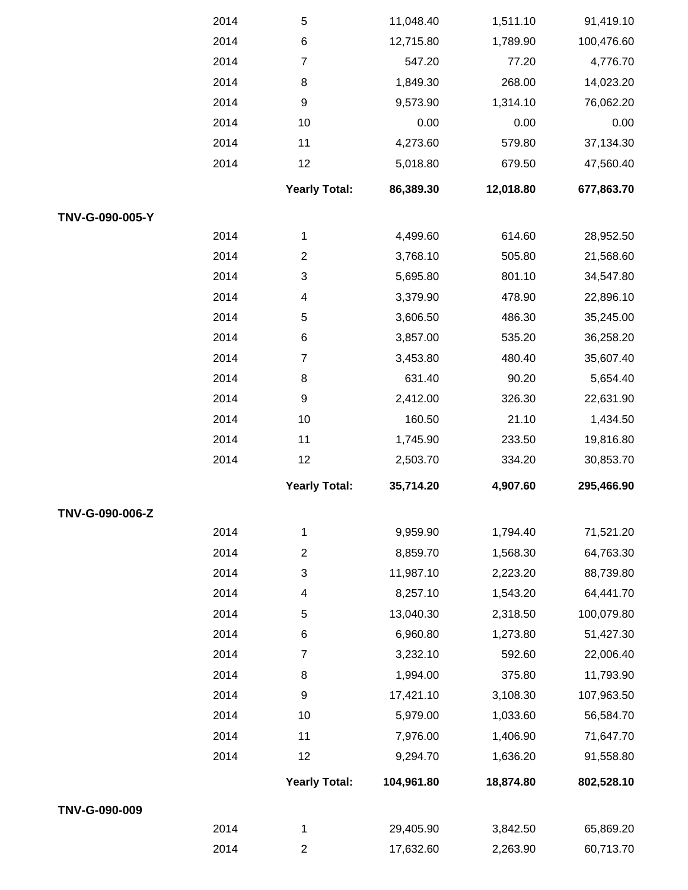| TNV-G-090-005-Y | 2014<br>2014<br>2014<br>2014<br>2014<br>2014<br>2014<br>2014<br>2014 | 6<br>$\overline{7}$<br>8<br>$\boldsymbol{9}$<br>10<br>11<br>12<br><b>Yearly Total:</b> | 12,715.80<br>547.20<br>1,849.30<br>9,573.90<br>0.00<br>4,273.60<br>5,018.80<br>86,389.30 | 1,789.90<br>77.20<br>268.00<br>1,314.10<br>0.00<br>579.80<br>679.50 | 100,476.60<br>4,776.70<br>14,023.20<br>76,062.20<br>0.00<br>37,134.30 |
|-----------------|----------------------------------------------------------------------|----------------------------------------------------------------------------------------|------------------------------------------------------------------------------------------|---------------------------------------------------------------------|-----------------------------------------------------------------------|
|                 |                                                                      |                                                                                        |                                                                                          |                                                                     |                                                                       |
|                 |                                                                      |                                                                                        |                                                                                          |                                                                     |                                                                       |
|                 |                                                                      |                                                                                        |                                                                                          |                                                                     |                                                                       |
|                 |                                                                      |                                                                                        |                                                                                          |                                                                     |                                                                       |
|                 |                                                                      |                                                                                        |                                                                                          |                                                                     |                                                                       |
|                 |                                                                      |                                                                                        |                                                                                          |                                                                     |                                                                       |
|                 |                                                                      |                                                                                        |                                                                                          |                                                                     | 47,560.40                                                             |
|                 |                                                                      |                                                                                        |                                                                                          | 12,018.80                                                           | 677,863.70                                                            |
|                 |                                                                      |                                                                                        |                                                                                          |                                                                     |                                                                       |
|                 |                                                                      | 1                                                                                      | 4,499.60                                                                                 | 614.60                                                              | 28,952.50                                                             |
|                 |                                                                      | $\overline{\mathbf{c}}$                                                                | 3,768.10                                                                                 | 505.80                                                              | 21,568.60                                                             |
|                 | 2014                                                                 | 3                                                                                      | 5,695.80                                                                                 | 801.10                                                              | 34,547.80                                                             |
|                 | 2014                                                                 | 4                                                                                      | 3,379.90                                                                                 | 478.90                                                              | 22,896.10                                                             |
|                 | 2014                                                                 | 5                                                                                      | 3,606.50                                                                                 | 486.30                                                              | 35,245.00                                                             |
|                 | 2014                                                                 | 6                                                                                      | 3,857.00                                                                                 | 535.20                                                              | 36,258.20                                                             |
|                 | 2014                                                                 | $\overline{7}$                                                                         | 3,453.80                                                                                 | 480.40                                                              | 35,607.40                                                             |
|                 | 2014                                                                 | 8                                                                                      | 631.40                                                                                   | 90.20                                                               | 5,654.40                                                              |
|                 | 2014                                                                 | 9                                                                                      | 2,412.00                                                                                 | 326.30                                                              | 22,631.90                                                             |
|                 | 2014                                                                 | 10                                                                                     | 160.50                                                                                   | 21.10                                                               | 1,434.50                                                              |
|                 | 2014                                                                 | 11                                                                                     | 1,745.90                                                                                 | 233.50                                                              | 19,816.80                                                             |
|                 | 2014                                                                 | 12                                                                                     | 2,503.70                                                                                 | 334.20                                                              | 30,853.70                                                             |
|                 |                                                                      | <b>Yearly Total:</b>                                                                   | 35,714.20                                                                                | 4,907.60                                                            | 295,466.90                                                            |
| TNV-G-090-006-Z |                                                                      |                                                                                        |                                                                                          |                                                                     |                                                                       |
|                 | 2014                                                                 | $\mathbf 1$                                                                            | 9,959.90                                                                                 | 1,794.40                                                            | 71,521.20                                                             |
|                 | 2014                                                                 | $\overline{\mathbf{c}}$                                                                | 8,859.70                                                                                 | 1,568.30                                                            | 64,763.30                                                             |
|                 | 2014                                                                 | 3                                                                                      | 11,987.10                                                                                | 2,223.20                                                            | 88,739.80                                                             |
|                 | 2014                                                                 | 4                                                                                      | 8,257.10                                                                                 | 1,543.20                                                            | 64,441.70                                                             |
|                 | 2014                                                                 | 5                                                                                      | 13,040.30                                                                                | 2,318.50                                                            | 100,079.80                                                            |
|                 | 2014                                                                 | 6                                                                                      | 6,960.80                                                                                 | 1,273.80                                                            | 51,427.30                                                             |
|                 | 2014                                                                 | $\overline{7}$                                                                         | 3,232.10                                                                                 | 592.60                                                              | 22,006.40                                                             |
|                 | 2014                                                                 | 8                                                                                      | 1,994.00                                                                                 | 375.80                                                              | 11,793.90                                                             |
|                 | 2014                                                                 | $\boldsymbol{9}$                                                                       | 17,421.10                                                                                | 3,108.30                                                            | 107,963.50                                                            |
|                 | 2014                                                                 | 10                                                                                     | 5,979.00                                                                                 | 1,033.60                                                            | 56,584.70                                                             |
|                 | 2014                                                                 | 11                                                                                     | 7,976.00                                                                                 | 1,406.90                                                            | 71,647.70                                                             |
|                 | 2014                                                                 | 12                                                                                     | 9,294.70                                                                                 | 1,636.20                                                            | 91,558.80                                                             |
|                 |                                                                      | <b>Yearly Total:</b>                                                                   | 104,961.80                                                                               |                                                                     |                                                                       |
| TNV-G-090-009   |                                                                      |                                                                                        |                                                                                          | 18,874.80                                                           | 802,528.10                                                            |
|                 |                                                                      |                                                                                        |                                                                                          |                                                                     |                                                                       |
|                 | 2014                                                                 | 1                                                                                      | 29,405.90                                                                                | 3,842.50                                                            | 65,869.20                                                             |
|                 |                                                                      |                                                                                        |                                                                                          |                                                                     |                                                                       |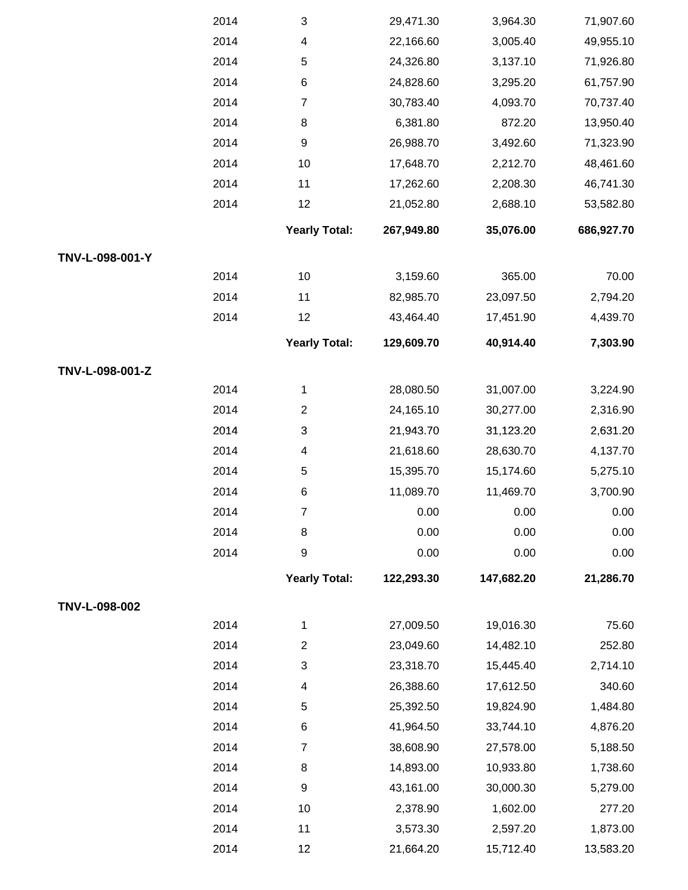|                 | 2014 | 3                       | 29,471.30  | 3,964.30   | 71,907.60  |
|-----------------|------|-------------------------|------------|------------|------------|
|                 | 2014 | 4                       | 22,166.60  | 3,005.40   | 49,955.10  |
|                 | 2014 | 5                       | 24,326.80  | 3,137.10   | 71,926.80  |
|                 | 2014 | $\,6$                   | 24,828.60  | 3,295.20   | 61,757.90  |
|                 | 2014 | 7                       | 30,783.40  | 4,093.70   | 70,737.40  |
|                 | 2014 | 8                       | 6,381.80   | 872.20     | 13,950.40  |
|                 | 2014 | $\boldsymbol{9}$        | 26,988.70  | 3,492.60   | 71,323.90  |
|                 | 2014 | 10                      | 17,648.70  | 2,212.70   | 48,461.60  |
|                 | 2014 | 11                      | 17,262.60  | 2,208.30   | 46,741.30  |
|                 | 2014 | 12                      | 21,052.80  | 2,688.10   | 53,582.80  |
|                 |      | <b>Yearly Total:</b>    | 267,949.80 | 35,076.00  | 686,927.70 |
| TNV-L-098-001-Y |      |                         |            |            |            |
|                 | 2014 | 10                      | 3,159.60   | 365.00     | 70.00      |
|                 | 2014 | 11                      | 82,985.70  | 23,097.50  | 2,794.20   |
|                 | 2014 | 12                      | 43,464.40  | 17,451.90  | 4,439.70   |
|                 |      | <b>Yearly Total:</b>    | 129,609.70 | 40,914.40  | 7,303.90   |
| TNV-L-098-001-Z |      |                         |            |            |            |
|                 | 2014 | 1                       | 28,080.50  | 31,007.00  | 3,224.90   |
|                 | 2014 | $\overline{c}$          | 24,165.10  | 30,277.00  | 2,316.90   |
|                 | 2014 | 3                       | 21,943.70  | 31,123.20  | 2,631.20   |
|                 | 2014 | $\overline{\mathbf{4}}$ | 21,618.60  | 28,630.70  | 4,137.70   |
|                 | 2014 | $\,$ 5 $\,$             | 15,395.70  | 15,174.60  | 5,275.10   |
|                 | 2014 | $\,6$                   | 11,089.70  | 11,469.70  | 3,700.90   |
|                 | 2014 | $\overline{7}$          | 0.00       | 0.00       | 0.00       |
|                 | 2014 | 8                       | 0.00       | 0.00       | 0.00       |
|                 | 2014 | $\boldsymbol{9}$        | 0.00       | 0.00       | 0.00       |
|                 |      | <b>Yearly Total:</b>    | 122,293.30 | 147,682.20 | 21,286.70  |
| TNV-L-098-002   |      |                         |            |            |            |
|                 | 2014 | 1                       | 27,009.50  | 19,016.30  | 75.60      |
|                 | 2014 | $\mathbf{2}$            | 23,049.60  | 14,482.10  | 252.80     |
|                 | 2014 | 3                       | 23,318.70  | 15,445.40  | 2,714.10   |
|                 | 2014 | $\overline{\mathbf{4}}$ | 26,388.60  | 17,612.50  | 340.60     |
|                 | 2014 | $\mathbf 5$             | 25,392.50  | 19,824.90  | 1,484.80   |
|                 | 2014 | 6                       | 41,964.50  | 33,744.10  | 4,876.20   |
|                 | 2014 | 7                       | 38,608.90  | 27,578.00  | 5,188.50   |
|                 | 2014 | 8                       | 14,893.00  | 10,933.80  | 1,738.60   |
|                 | 2014 | 9                       | 43,161.00  | 30,000.30  | 5,279.00   |
|                 | 2014 | 10                      | 2,378.90   | 1,602.00   | 277.20     |
|                 | 2014 | 11                      | 3,573.30   | 2,597.20   | 1,873.00   |
|                 | 2014 | 12                      | 21,664.20  | 15,712.40  | 13,583.20  |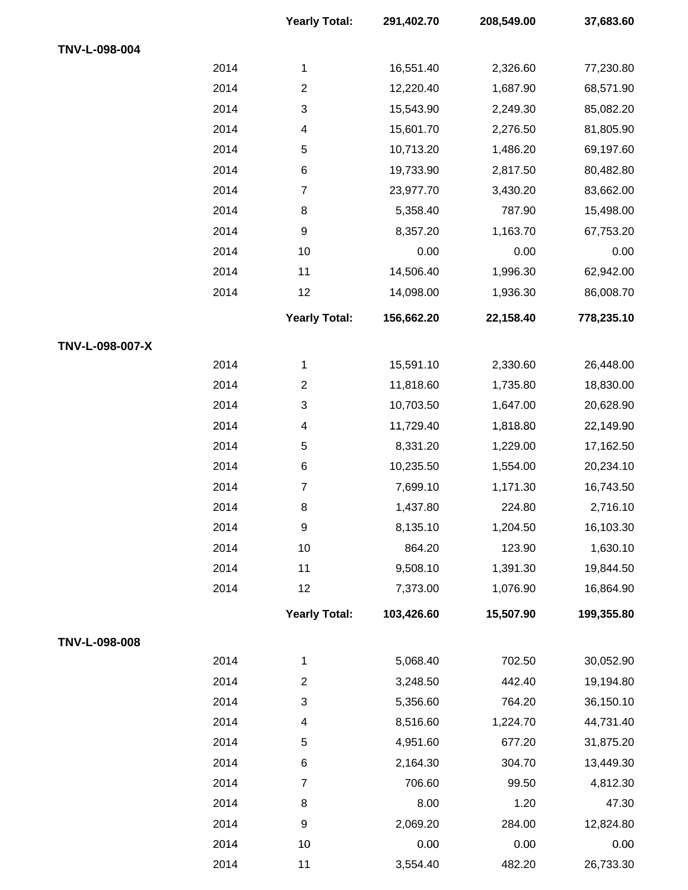|                 |      | <b>Yearly Total:</b>    | 291,402.70 | 208,549.00 | 37,683.60  |
|-----------------|------|-------------------------|------------|------------|------------|
| TNV-L-098-004   |      |                         |            |            |            |
|                 | 2014 | 1                       | 16,551.40  | 2,326.60   | 77,230.80  |
|                 | 2014 | $\overline{c}$          | 12,220.40  | 1,687.90   | 68,571.90  |
|                 | 2014 | 3                       | 15,543.90  | 2,249.30   | 85,082.20  |
|                 | 2014 | $\overline{\mathbf{4}}$ | 15,601.70  | 2,276.50   | 81,805.90  |
|                 | 2014 | 5                       | 10,713.20  | 1,486.20   | 69,197.60  |
|                 | 2014 | 6                       | 19,733.90  | 2,817.50   | 80,482.80  |
|                 | 2014 | $\overline{7}$          | 23,977.70  | 3,430.20   | 83,662.00  |
|                 | 2014 | 8                       | 5,358.40   | 787.90     | 15,498.00  |
|                 | 2014 | 9                       | 8,357.20   | 1,163.70   | 67,753.20  |
|                 | 2014 | 10                      | 0.00       | 0.00       | 0.00       |
|                 | 2014 | 11                      | 14,506.40  | 1,996.30   | 62,942.00  |
|                 | 2014 | 12                      | 14,098.00  | 1,936.30   | 86,008.70  |
|                 |      | <b>Yearly Total:</b>    | 156,662.20 | 22,158.40  | 778,235.10 |
| TNV-L-098-007-X |      |                         |            |            |            |
|                 | 2014 | 1                       | 15,591.10  | 2,330.60   | 26,448.00  |
|                 | 2014 | $\overline{c}$          | 11,818.60  | 1,735.80   | 18,830.00  |
|                 | 2014 | 3                       | 10,703.50  | 1,647.00   | 20,628.90  |
|                 | 2014 | $\overline{\mathbf{4}}$ | 11,729.40  | 1,818.80   | 22,149.90  |
|                 | 2014 | 5                       | 8,331.20   | 1,229.00   | 17,162.50  |
|                 | 2014 | 6                       | 10,235.50  | 1,554.00   | 20,234.10  |
|                 | 2014 | $\overline{7}$          | 7,699.10   | 1,171.30   | 16,743.50  |
|                 | 2014 | 8                       | 1,437.80   | 224.80     | 2,716.10   |
|                 | 2014 | $\boldsymbol{9}$        | 8,135.10   | 1,204.50   | 16,103.30  |
|                 | 2014 | 10                      | 864.20     | 123.90     | 1,630.10   |
|                 | 2014 | 11                      | 9,508.10   | 1,391.30   | 19,844.50  |
|                 | 2014 | 12                      | 7,373.00   | 1,076.90   | 16,864.90  |
|                 |      | <b>Yearly Total:</b>    | 103,426.60 | 15,507.90  | 199,355.80 |
| TNV-L-098-008   |      |                         |            |            |            |
|                 | 2014 | 1                       | 5,068.40   | 702.50     | 30,052.90  |
|                 | 2014 | $\overline{c}$          | 3,248.50   | 442.40     | 19,194.80  |
|                 | 2014 | 3                       | 5,356.60   | 764.20     | 36,150.10  |
|                 | 2014 | $\overline{\mathbf{4}}$ | 8,516.60   | 1,224.70   | 44,731.40  |
|                 | 2014 | 5                       | 4,951.60   | 677.20     | 31,875.20  |
|                 | 2014 | 6                       | 2,164.30   | 304.70     | 13,449.30  |
|                 | 2014 | $\overline{7}$          | 706.60     | 99.50      | 4,812.30   |
|                 | 2014 | 8                       | 8.00       | 1.20       | 47.30      |
|                 | 2014 | 9                       | 2,069.20   | 284.00     | 12,824.80  |
|                 | 2014 | 10                      | 0.00       | 0.00       | 0.00       |
|                 | 2014 | 11                      | 3,554.40   | 482.20     | 26,733.30  |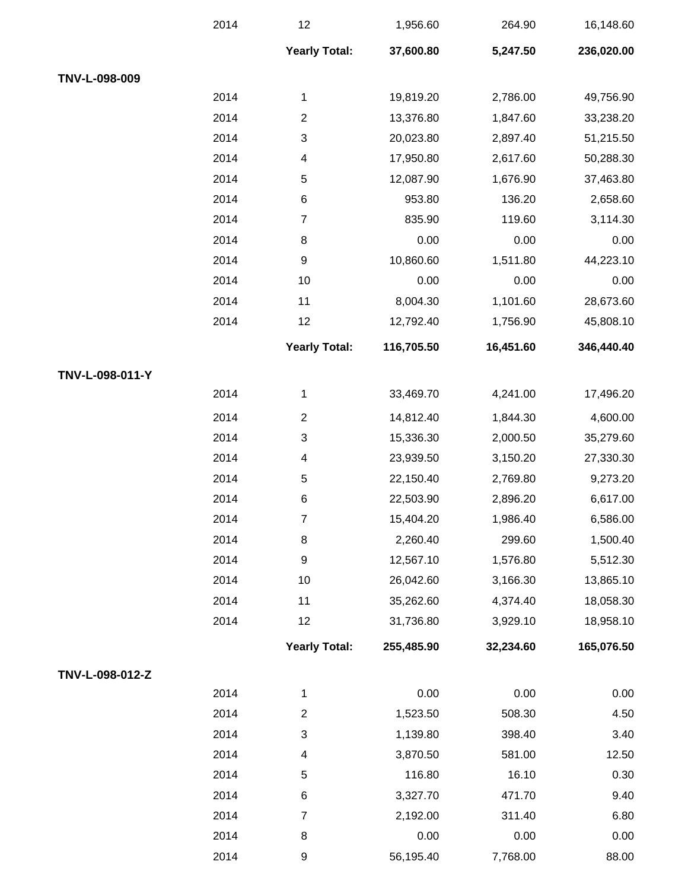|                 | 2014 | 12                   | 1,956.60   | 264.90    | 16,148.60  |
|-----------------|------|----------------------|------------|-----------|------------|
|                 |      | <b>Yearly Total:</b> | 37,600.80  | 5,247.50  | 236,020.00 |
| TNV-L-098-009   |      |                      |            |           |            |
|                 | 2014 | 1                    | 19,819.20  | 2,786.00  | 49,756.90  |
|                 | 2014 | $\overline{c}$       | 13,376.80  | 1,847.60  | 33,238.20  |
|                 | 2014 | 3                    | 20,023.80  | 2,897.40  | 51,215.50  |
|                 | 2014 | 4                    | 17,950.80  | 2,617.60  | 50,288.30  |
|                 | 2014 | 5                    | 12,087.90  | 1,676.90  | 37,463.80  |
|                 | 2014 | 6                    | 953.80     | 136.20    | 2,658.60   |
|                 | 2014 | $\overline{7}$       | 835.90     | 119.60    | 3,114.30   |
|                 | 2014 | 8                    | 0.00       | 0.00      | 0.00       |
|                 | 2014 | 9                    | 10,860.60  | 1,511.80  | 44,223.10  |
|                 | 2014 | 10                   | 0.00       | 0.00      | 0.00       |
|                 | 2014 | 11                   | 8,004.30   | 1,101.60  | 28,673.60  |
|                 | 2014 | 12                   | 12,792.40  | 1,756.90  | 45,808.10  |
|                 |      | <b>Yearly Total:</b> | 116,705.50 | 16,451.60 | 346,440.40 |
| TNV-L-098-011-Y |      |                      |            |           |            |
|                 | 2014 | 1                    | 33,469.70  | 4,241.00  | 17,496.20  |
|                 | 2014 | $\overline{c}$       | 14,812.40  | 1,844.30  | 4,600.00   |
|                 | 2014 | 3                    | 15,336.30  | 2,000.50  | 35,279.60  |
|                 | 2014 | 4                    | 23,939.50  | 3,150.20  | 27,330.30  |
|                 | 2014 | 5                    | 22,150.40  | 2,769.80  | 9,273.20   |
|                 | 2014 | 6                    | 22,503.90  | 2,896.20  | 6,617.00   |
|                 | 2014 | $\boldsymbol{7}$     | 15,404.20  | 1,986.40  | 6,586.00   |
|                 | 2014 | 8                    | 2,260.40   | 299.60    | 1,500.40   |
|                 | 2014 | 9                    | 12,567.10  | 1,576.80  | 5,512.30   |
|                 | 2014 | $10$                 | 26,042.60  | 3,166.30  | 13,865.10  |
|                 | 2014 | 11                   | 35,262.60  | 4,374.40  | 18,058.30  |
|                 | 2014 | 12                   | 31,736.80  | 3,929.10  | 18,958.10  |
|                 |      | <b>Yearly Total:</b> | 255,485.90 | 32,234.60 | 165,076.50 |
| TNV-L-098-012-Z |      |                      |            |           |            |
|                 | 2014 | 1                    | 0.00       | 0.00      | 0.00       |
|                 | 2014 | $\overline{c}$       | 1,523.50   | 508.30    | 4.50       |
|                 | 2014 | 3                    | 1,139.80   | 398.40    | 3.40       |
|                 | 2014 | 4                    | 3,870.50   | 581.00    | 12.50      |
|                 | 2014 | 5                    | 116.80     | 16.10     | 0.30       |
|                 | 2014 | 6                    | 3,327.70   | 471.70    | 9.40       |
|                 | 2014 | $\boldsymbol{7}$     | 2,192.00   | 311.40    | 6.80       |
|                 | 2014 | 8                    | 0.00       | 0.00      | 0.00       |
|                 | 2014 | $\boldsymbol{9}$     | 56,195.40  | 7,768.00  | 88.00      |